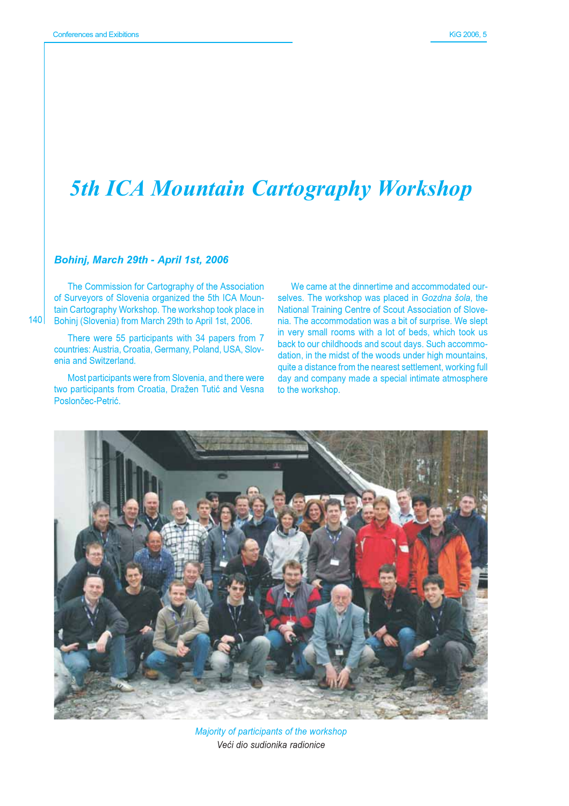## **5th ICA Mountain Cartography Workshop**

## Bohinj, March 29th - April 1st, 2006

The Commission for Cartography of the Association of Surveyors of Slovenia organized the 5th ICA Mountain Cartography Workshop. The workshop took place in Bohini (Slovenia) from March 29th to April 1st, 2006.

There were 55 participants with 34 papers from 7 countries: Austria, Croatia, Germany, Poland, USA, Slovenia and Switzerland.

Most participants were from Slovenia, and there were two participants from Croatia, Dražen Tutić and Vesna Poslončec-Petrić.

We came at the dinnertime and accommodated ourselves. The workshop was placed in Gozdna šola, the National Training Centre of Scout Association of Slovenia. The accommodation was a bit of surprise. We slept in very small rooms with a lot of beds, which took us back to our childhoods and scout days. Such accommodation, in the midst of the woods under high mountains, quite a distance from the nearest settlement, working full day and company made a special intimate atmosphere to the workshop.



Majority of participants of the workshop Veći dio sudionika radionice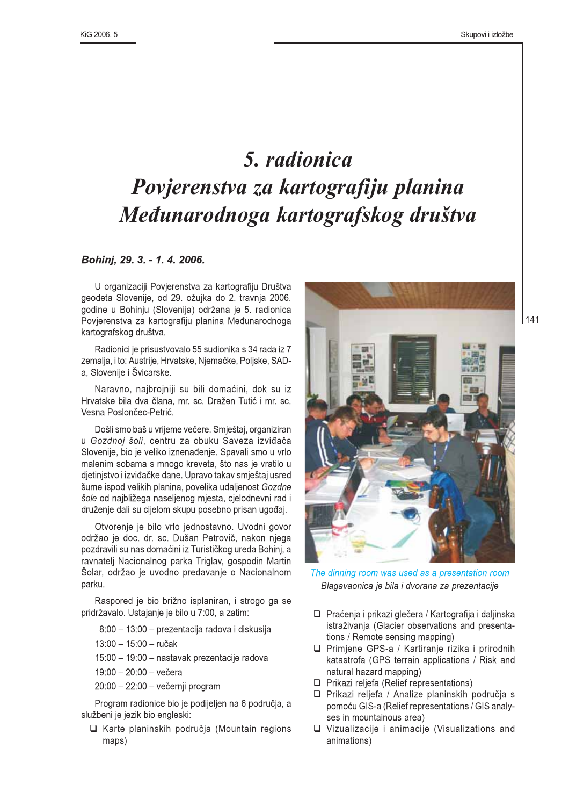## 5. radionica Povjerenstva za kartografiju planina Međunarodnoga kartografskog društva

## Bohini, 29. 3. - 1. 4. 2006.

U organizaciji Povjerenstva za kartografiju Društva geodeta Slovenije, od 29. ožujka do 2. travnja 2006. godine u Bohinju (Slovenija) održana je 5. radionica Povjerenstva za kartografiju planina Međunarodnoga kartografskog društva.

Radionici je prisustvovalo 55 sudionika s 34 rada iz 7 zemalja, i to: Austrije, Hrvatske, Njemačke, Poljske, SADa, Slovenije i Švicarske.

Naravno, najbrojniji su bili domaćini, dok su iz Hrvatske bila dva člana, mr. sc. Dražen Tutić i mr. sc. Vesna Poslončec-Petrić.

Došli smo baš u vrijeme večere. Smještaj, organiziran u Gozdnoj šoli, centru za obuku Saveza izviđača Slovenije, bio je veliko iznenađenje. Spavali smo u vrlo malenim sobama s mnogo kreveta, što nas je vratilo u djetinjstvo i izviđačke dane. Upravo takav smještaj usred šume ispod velikih planina, povelika udaljenost Gozdne šole od najbližega naseljenog mjesta, cjelodnevni rad i druženje dali su cijelom skupu posebno prisan ugođaj.

Otvorenje je bilo vrlo jednostavno. Uvodni govor održao je doc. dr. sc. Dušan Petrovič, nakon njega pozdravili su nas domaćini iz Turističkog ureda Bohinj, a ravnateli Nacionalnog parka Triglay, gospodin Martin Šolar, održao je uvodno predavanje o Nacionalnom parku.

Raspored je bio brižno isplaniran, i strogo ga se pridržavalo. Ustajanje je bilo u 7:00, a zatim:

8:00 - 13:00 - prezentacija radova i diskusija

 $13:00 - 15:00 - ručak$ 

15:00 - 19:00 - nastavak prezentacije radova

 $19:00 - 20:00 -$  večera

20:00 - 22:00 - večernji program

Program radionice bio je podijeljen na 6 područja, a službeni je jezik bio engleski:

□ Karte planinskih područia (Mountain regions maps)



The dinning room was used as a presentation room Blagavaonica je bila i dvorana za prezentacije

- □ Praćenia i prikazi glečera / Kartografija i dalijnska istraživania (Glacier observations and presentations / Remote sensing mapping)
- □ Primjene GPS-a / Kartiranje rizika i prirodnih katastrofa (GPS terrain applications / Risk and natural hazard mapping)
- $\Box$  Prikazi reljefa (Relief representations)
- □ Prikazi reljefa / Analize planinskih područja s pomoću GIS-a (Relief representations / GIS analyses in mountainous area)
- □ Vizualizacije i animacije (Visualizations and animations)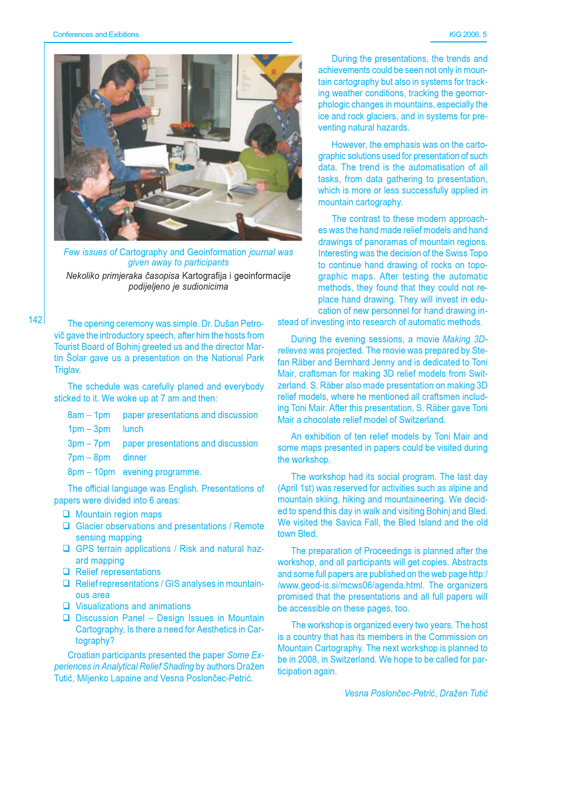

Few issues of Cartography and Geoinformation journal was given away to participants Nekoliko primjeraka časopisa Kartografija i geoinformacije podijeljeno je sudionicima

 $142$ 

The opening ceremony was simple. Dr. Dušan Petrovič gave the introductory speech, after him the hosts from Tourist Board of Bohinj greeted us and the director Martin Šolar gave us a presentation on the National Park Triglav.

The schedule was carefully planed and everybody sticked to it. We woke up at 7 am and then:

| $8am - 1dm$ |  |  | paper presentations and discussion |  |  |  |  |  |  |
|-------------|--|--|------------------------------------|--|--|--|--|--|--|
|-------------|--|--|------------------------------------|--|--|--|--|--|--|

- $1pm 3pm$ lunch
- $3pm-7pm$ paper presentations and discussion
- $7$ pm  $-$  8pm dinner
- 8pm 10pm evening programme.

The official language was English. Presentations of papers were divided into 6 areas:

- $\Box$  Mountain region maps
- $\Box$  Glacier observations and presentations / Remote sensing mapping
- □ GPS terrain applications / Risk and natural hazard mapping
- $\Box$  Relief representations
- $\Box$  Relief representations / GIS analyses in mountain-**OUS AFAA**
- $\Box$  Visualizations and animations
- $\Box$  Discussion Panel Design Issues in Mountain Cartography, Is there a need for Aesthetics in Cartography?

Croatian participants presented the paper Some Experiences in Analytical Relief Shading by authors Dražen Tutić, Milienko Lapaine and Vesna Poslončec-Petrić.

During the presentations, the trends and achievements could be seen not only in mountain cartography but also in systems for tracking weather conditions, tracking the geomorphologic changes in mountains, especially the ice and rock glaciers, and in systems for preventing natural hazards.

However, the emphasis was on the cartographic solutions used for presentation of such data. The trend is the automatisation of all tasks, from data gathering to presentation, which is more or less successfully applied in mountain cartography.

The contrast to these modern approaches was the hand made relief models and hand drawings of panoramas of mountain regions. Interesting was the decision of the Swiss Topo to continue hand drawing of rocks on topographic maps. After testing the automatic methods, they found that they could not replace hand drawing. They will invest in education of new personnel for hand drawing in-

stead of investing into research of automatic methods.

During the evening sessions, a movie Making 3Drelieves was projected. The movie was prepared by Stefan Räber and Bernhard Jenny and is dedicated to Toni Mair, craftsman for making 3D relief models from Switzerland, S. Räber also made presentation on making 3D relief models, where he mentioned all craftsmen including Toni Mair. After this presentation, S. Räber gave Toni Mair a chocolate relief model of Switzerland.

An exhibition of ten relief models by Toni Mair and some maps presented in papers could be visited during the workshop.

The workshop had its social program. The last day (April 1st) was reserved for activities such as alpine and mountain skiing, hiking and mountaineering. We decided to spend this day in walk and visiting Bohinj and Bled. We visited the Savica Fall, the Bled Island and the old town Bled.

The preparation of Proceedings is planned after the workshop, and all participants will get copies. Abstracts and some full papers are published on the web page http:/ /www.geod-is.si/mcws06/agenda.html. The organizers promised that the presentations and all full papers will be accessible on these pages, too.

The workshop is organized every two years. The host is a country that has its members in the Commission on Mountain Cartography. The next workshop is planned to be in 2008, in Switzerland. We hope to be called for participation again.

Vesna Poslončec-Petrić, Dražen Tutić